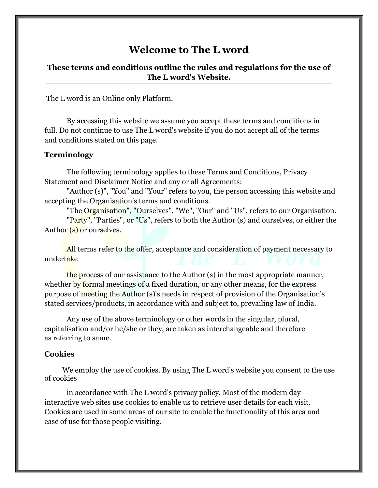# **Welcome to The L word**

## **These terms and conditions outline the rules and regulations for the use of The L word's Website.**

The L word is an Online only Platform.

By accessing this website we assume you accept these terms and conditions in full. Do not continue to use The L word's website if you do not accept all of the terms and conditions stated on this page.

#### **Terminology**

The following terminology applies to these Terms and Conditions, Privacy Statement and Disclaimer Notice and any or all Agreements:

"Author (s)", "You" and "Your" refers to you, the person accessing this website and accepting the Organisation's terms and conditions.

"The Organisation", "Ourselves", "We", "Our" and "Us", refers to our Organisation. "Party", "Parties", or "Us", refers to both the Author (s) and ourselves, or either the Author (s) or ourselves.

All terms refer to the offer, acceptance and consideration of payment necessary to undertake

the process of our assistance to the Author (s) in the most appropriate manner, whether by formal meetings of a fixed duration, or any other means, for the express purpose of meeting the Author (s)'s needs in respect of provision of the Organisation's stated services/products, in accordance with and subject to, prevailing law of India.

Any use of the above terminology or other words in the singular, plural, capitalisation and/or he/she or they, are taken as interchangeable and therefore as referring to same.

### **Cookies**

We employ the use of cookies. By using The L word's website you consent to the use of cookies

in accordance with The L word's privacy policy. Most of the modern day interactive web sites use cookies to enable us to retrieve user details for each visit. Cookies are used in some areas of our site to enable the functionality of this area and ease of use for those people visiting.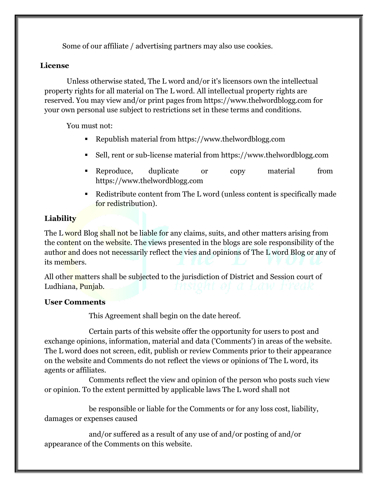Some of our affiliate / advertising partners may also use cookies.

## **License**

Unless otherwise stated, The L word and/or it's licensors own the intellectual property rights for all material on The L word. All intellectual property rights are reserved. You may view and/or print pages from http[s://www](http://www.thelwordblogg.com/).[thelwordblogg.com f](http://www.thelwordblogg.com/)or your own personal use subject to restrictions set in these terms and conditions.

You must not:

- Republish material from http[s://www](http://www.thelwordblogg.com/).[thelwordblogg.com](http://www.thelwordblogg.com/)
- Sell, rent or sub-license material from https:[//www.thelwordblogg.com](http://www.thelwordblogg.com/)
- Reproduce, duplicate or copy material from http[s://www](http://www.thelwordblogg.com/).[thelwordblogg.com](http://www.thelwordblogg.com/)
- Redistribute content from The L word (unless content is specifically made for redistribution).

## **Liability**

The L word Blog shall not be liable for any claims, suits, and other matters arising from the content on the website. The views presented in the blogs are sole responsibility of the author and does not necessarily reflect the vies and opinions of The L word Blog or any of its members.

All other matters shall be subjected to the jurisdiction of District and Session court of Ludhiana, Punjab.

## **User Comments**

This Agreement shall begin on the date hereof.

Certain parts of this website offer the opportunity for users to post and exchange opinions, information, material and data ('Comments') in areas of the website. The L word does not screen, edit, publish or review Comments prior to their appearance on the website and Comments do not reflect the views or opinions of The L word, its agents or affiliates.

Comments reflect the view and opinion of the person who posts such view or opinion. To the extent permitted by applicable laws The L word shall not

be responsible or liable for the Comments or for any loss cost, liability, damages or expenses caused

and/or suffered as a result of any use of and/or posting of and/or appearance of the Comments on this website.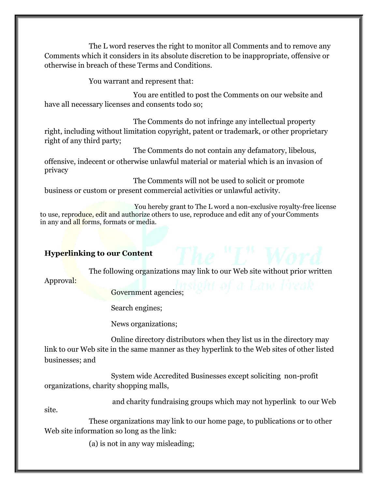The L word reserves the right to monitor all Comments and to remove any Comments which it considers in its absolute discretion to be inappropriate, offensive or otherwise in breach of these Terms and Conditions.

You warrant and represent that:

You are entitled to post the Comments on our website and have all necessary licenses and consents todo so;

The Comments do not infringe any intellectual property right, including without limitation copyright, patent or trademark, or other proprietary right of any third party;

The Comments do not contain any defamatory, libelous,

offensive, indecent or otherwise unlawful material or material which is an invasion of privacy

The Comments will not be used to solicit or promote business or custom or present commercial activities or unlawful activity.

 You hereby grant to The L word a non-exclusive royalty-free license to use, reproduce, edit and authorize others to use, reproduce and edit any of your Comments in any and all forms, formats or media.

## **Hyperlinking to our Content**

The following organizations may link to our Web site without prior written

Approval:

Government agencies;

Search engines;

News organizations;

Online directory distributors when they list us in the directory may link to our Web site in the same manner as they hyperlink to the Web sites of other listed businesses; and

System wide Accredited Businesses except soliciting non-profit organizations, charity shopping malls,

and charity fundraising groups which may not hyperlink to our Web

site.

These organizations may link to our home page, to publications or to other Web site information so long as the link:

(a) is not in any way misleading;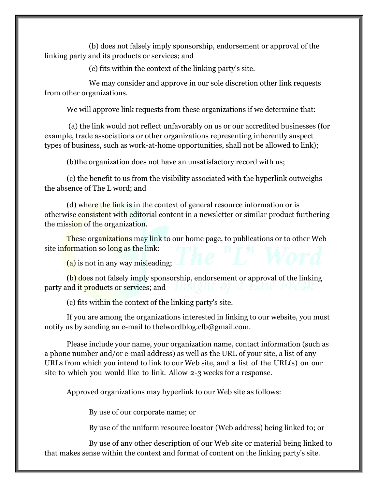(b) does not falsely imply sponsorship, endorsement or approval of the linking party and its products or services; and

(c) fits within the context of the linking party's site.

We may consider and approve in our sole discretion other link requests from other organizations.

We will approve link requests from these organizations if we determine that:

(a) the link would not reflect unfavorably on us or our accredited businesses (for example, trade associations or other organizations representing inherently suspect types of business, such as work-at-home opportunities, shall not be allowed to link);

(b)the organization does not have an unsatisfactory record with us;

(c) the benefit to us from the visibility associated with the hyperlink outweighs the absence of The L word; and

(d) where the link is in the context of general resource information or is otherwise consistent with editorial content in a newsletter or similar product furthering the mission of the organization.

These organizations may link to our home page, to publications or to other Web site information so long as the link:

(a) is not in any way misleading;

(b) does not falsely imply sponsorship, endorsement or approval of the linking party and it products or services; and

(c) fits within the context of the linking party's site.

If you are among the organizations interested in linking to our website, you must notify us by sending an e-mail to [thelwordblog.cfb@gmail.com.](mailto:thelwordblog.cfb@gmail.com)

Please include your name, your organization name, contact information (such as a phone number and/or e-mail address) as well as the URL of your site, a list of any URLs from which you intend to link to our Web site, and a list of the URL(s) on our site to which you would like to link. Allow 2-3 weeks for a response.

Approved organizations may hyperlink to our Web site as follows:

By use of our corporate name; or

By use of the uniform resource locator (Web address) being linked to; or

By use of any other description of our Web site or material being linked to that makes sense within the context and format of content on the linking party's site.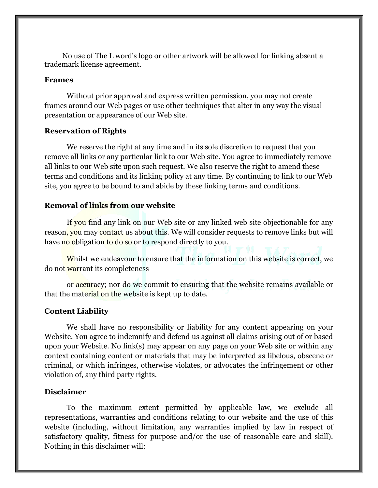No use of The L word's logo or other artwork will be allowed for linking absent a trademark license agreement.

### **Frames**

Without prior approval and express written permission, you may not create frames around our Web pages or use other techniques that alter in any way the visual presentation or appearance of our Web site.

### **Reservation of Rights**

We reserve the right at any time and in its sole discretion to request that you remove all links or any particular link to our Web site. You agree to immediately remove all links to our Web site upon such request. We also reserve the right to amend these terms and conditions and its linking policy at any time. By continuing to link to our Web site, you agree to be bound to and abide by these linking terms and conditions.

### **Removal of links from our website**

If you find any link on our Web site or any linked web site objectionable for any reason, you may contact us about this. We will consider requests to remove links but will have no obligation to do so or to respond directly to you.

Whilst we endeavour to ensure that the information on this website is correct, we do not warrant its completeness

or accuracy; nor do we commit to ensuring that the website remains available or that the material on the website is kept up to date.

### **Content Liability**

We shall have no responsibility or liability for any content appearing on your Website. You agree to indemnify and defend us against all claims arising out of or based upon your Website. No link(s) may appear on any page on your Web site or within any context containing content or materials that may be interpreted as libelous, obscene or criminal, or which infringes, otherwise violates, or advocates the infringement or other violation of, any third party rights.

## **Disclaimer**

To the maximum extent permitted by applicable law, we exclude all representations, warranties and conditions relating to our website and the use of this website (including, without limitation, any warranties implied by law in respect of satisfactory quality, fitness for purpose and/or the use of reasonable care and skill). Nothing in this disclaimer will: